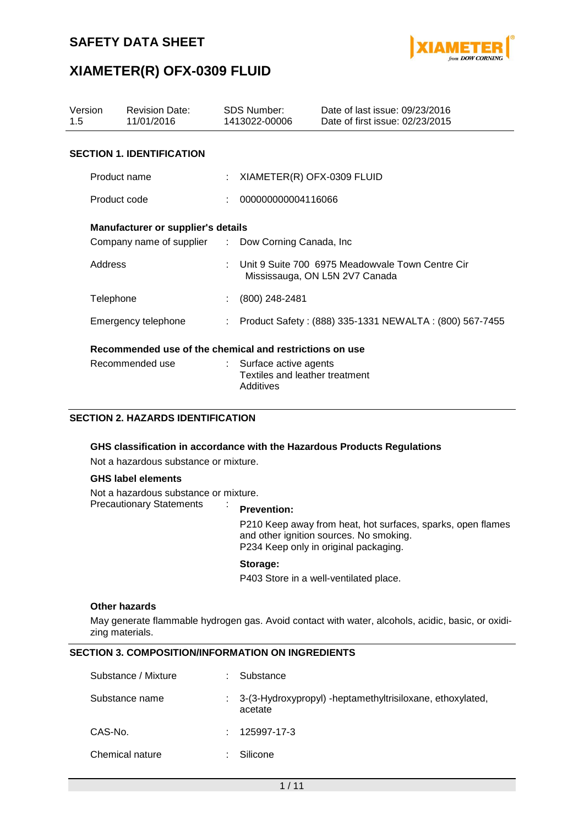

## **XIAMETER(R) OFX-0309 FLUID**

| Version<br>1.5  | <b>Revision Date:</b><br>11/01/2016                                                             |  | <b>SDS Number:</b><br>1413022-00006                                                | Date of last issue: 09/23/2016<br>Date of first issue: 02/23/2015 |  |  |
|-----------------|-------------------------------------------------------------------------------------------------|--|------------------------------------------------------------------------------------|-------------------------------------------------------------------|--|--|
|                 | <b>SECTION 1. IDENTIFICATION</b>                                                                |  |                                                                                    |                                                                   |  |  |
|                 | Product name                                                                                    |  | XIAMETER(R) OFX-0309 FLUID                                                         |                                                                   |  |  |
| Product code    |                                                                                                 |  |                                                                                    | 000000000004116066                                                |  |  |
|                 | <b>Manufacturer or supplier's details</b><br>Company name of supplier : Dow Corning Canada, Inc |  |                                                                                    |                                                                   |  |  |
|                 | Address                                                                                         |  | Unit 9 Suite 700 6975 Meadowyale Town Centre Cir<br>Mississauga, ON L5N 2V7 Canada |                                                                   |  |  |
|                 | Telephone                                                                                       |  | (800) 248-2481                                                                     |                                                                   |  |  |
|                 | Emergency telephone                                                                             |  | Product Safety: (888) 335-1331 NEWALTA: (800) 567-7455                             |                                                                   |  |  |
|                 | Recommended use of the chemical and restrictions on use                                         |  |                                                                                    |                                                                   |  |  |
| Recommended use |                                                                                                 |  | : Surface active agents<br>Textiles and leather treatment<br>Additives             |                                                                   |  |  |

### **SECTION 2. HAZARDS IDENTIFICATION**

### **GHS classification in accordance with the Hazardous Products Regulations**

Not a hazardous substance or mixture.

#### **GHS label elements**

Not a hazardous substance or mixture. Precautionary Statements :

#### **Prevention:**

P210 Keep away from heat, hot surfaces, sparks, open flames and other ignition sources. No smoking. P234 Keep only in original packaging.

#### **Storage:**

P403 Store in a well-ventilated place.

#### **Other hazards**

May generate flammable hydrogen gas. Avoid contact with water, alcohols, acidic, basic, or oxidizing materials.

### **SECTION 3. COMPOSITION/INFORMATION ON INGREDIENTS**

| Substance / Mixture | Substance                                                              |
|---------------------|------------------------------------------------------------------------|
| Substance name      | : 3-(3-Hydroxypropyl) -heptamethyltrisiloxane, ethoxylated,<br>acetate |
| CAS-No.             | 125997-17-3                                                            |
| Chemical nature     | Silicone                                                               |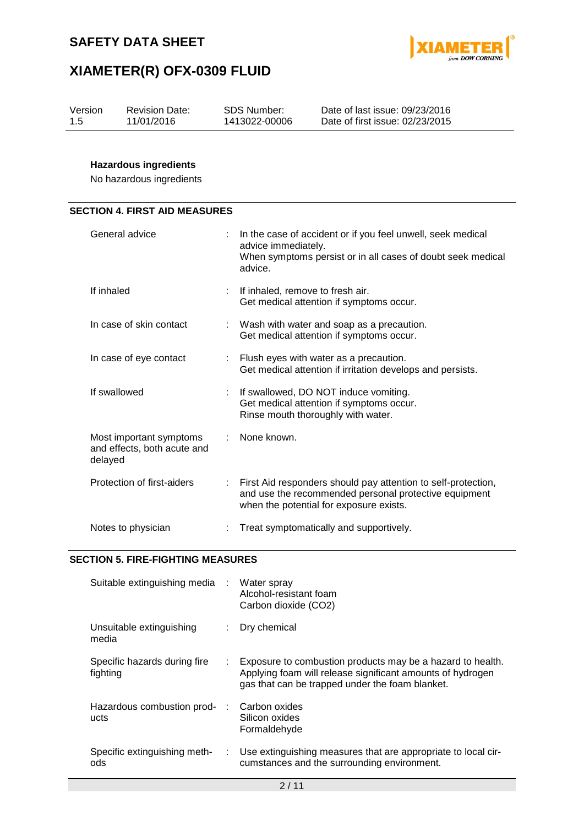



| Version | <b>Revision Date:</b> | SDS Number:   | Date of last issue: 09/23/2016  |
|---------|-----------------------|---------------|---------------------------------|
| 1.5     | 11/01/2016            | 1413022-00006 | Date of first issue: 02/23/2015 |
|         |                       |               |                                 |

## **Hazardous ingredients**

No hazardous ingredients

### **SECTION 4. FIRST AID MEASURES**

| General advice                                                    |    | In the case of accident or if you feel unwell, seek medical<br>advice immediately.<br>When symptoms persist or in all cases of doubt seek medical<br>advice.      |
|-------------------------------------------------------------------|----|-------------------------------------------------------------------------------------------------------------------------------------------------------------------|
| If inhaled                                                        |    | If inhaled, remove to fresh air.<br>Get medical attention if symptoms occur.                                                                                      |
| In case of skin contact                                           |    | : Wash with water and soap as a precaution.<br>Get medical attention if symptoms occur.                                                                           |
| In case of eye contact                                            |    | : Flush eyes with water as a precaution.<br>Get medical attention if irritation develops and persists.                                                            |
| If swallowed                                                      | ÷. | If swallowed, DO NOT induce vomiting.<br>Get medical attention if symptoms occur.<br>Rinse mouth thoroughly with water.                                           |
| Most important symptoms<br>and effects, both acute and<br>delayed |    | None known.                                                                                                                                                       |
| Protection of first-aiders                                        | ÷. | First Aid responders should pay attention to self-protection,<br>and use the recommended personal protective equipment<br>when the potential for exposure exists. |
| Notes to physician                                                |    | Treat symptomatically and supportively.                                                                                                                           |

#### **SECTION 5. FIRE-FIGHTING MEASURES**

| Suitable extinguishing media :           |                | Water spray<br>Alcohol-resistant foam<br>Carbon dioxide (CO2)                                                                                                               |
|------------------------------------------|----------------|-----------------------------------------------------------------------------------------------------------------------------------------------------------------------------|
| Unsuitable extinguishing<br>media        |                | Dry chemical                                                                                                                                                                |
| Specific hazards during fire<br>fighting | ÷.             | Exposure to combustion products may be a hazard to health.<br>Applying foam will release significant amounts of hydrogen<br>gas that can be trapped under the foam blanket. |
| Hazardous combustion prod-<br>ucts       | $\sim 10^{-1}$ | Carbon oxides<br>Silicon oxides<br>Formaldehyde                                                                                                                             |
| Specific extinguishing meth-<br>ods      | ÷.             | Use extinguishing measures that are appropriate to local cir-<br>cumstances and the surrounding environment.                                                                |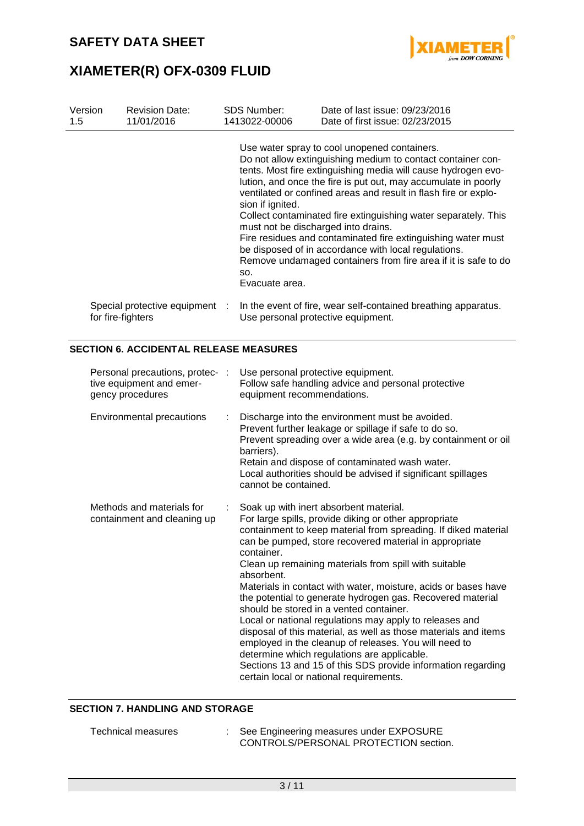



| Version<br>1.5 | <b>Revision Date:</b><br>11/01/2016                                             | <b>SDS Number:</b><br>1413022-00006                                                                                    | Date of last issue: 09/23/2016<br>Date of first issue: 02/23/2015                                                                                                                                                                                                                                                                                                                                                                                                                                                                                                                                                                               |
|----------------|---------------------------------------------------------------------------------|------------------------------------------------------------------------------------------------------------------------|-------------------------------------------------------------------------------------------------------------------------------------------------------------------------------------------------------------------------------------------------------------------------------------------------------------------------------------------------------------------------------------------------------------------------------------------------------------------------------------------------------------------------------------------------------------------------------------------------------------------------------------------------|
|                | Special protective equipment<br>for fire-fighters                               | sion if ignited.<br>must not be discharged into drains.<br>SO.<br>Evacuate area.<br>Use personal protective equipment. | Use water spray to cool unopened containers.<br>Do not allow extinguishing medium to contact container con-<br>tents. Most fire extinguishing media will cause hydrogen evo-<br>lution, and once the fire is put out, may accumulate in poorly<br>ventilated or confined areas and result in flash fire or explo-<br>Collect contaminated fire extinguishing water separately. This<br>Fire residues and contaminated fire extinguishing water must<br>be disposed of in accordance with local regulations.<br>Remove undamaged containers from fire area if it is safe to do<br>In the event of fire, wear self-contained breathing apparatus. |
|                |                                                                                 |                                                                                                                        |                                                                                                                                                                                                                                                                                                                                                                                                                                                                                                                                                                                                                                                 |
|                | <b>SECTION 6. ACCIDENTAL RELEASE MEASURES</b>                                   |                                                                                                                        |                                                                                                                                                                                                                                                                                                                                                                                                                                                                                                                                                                                                                                                 |
|                | Personal precautions, protec- :<br>tive equipment and emer-<br>gency procedures | Use personal protective equipment.<br>equipment recommendations.                                                       | Follow safe handling advice and personal protective                                                                                                                                                                                                                                                                                                                                                                                                                                                                                                                                                                                             |

| Environmental precautions | Discharge into the environment must be avoided.<br>Prevent further leakage or spillage if safe to do so.<br>Prevent spreading over a wide area (e.g. by containment or oil<br>barriers).<br>Retain and dispose of contaminated wash water.<br>Local authorities should be advised if significant spillages<br>cannot be contained. |
|---------------------------|------------------------------------------------------------------------------------------------------------------------------------------------------------------------------------------------------------------------------------------------------------------------------------------------------------------------------------|
| Mathode and materiale for | Soak un with inert absorbent material                                                                                                                                                                                                                                                                                              |

| Methods and materials for<br>containment and cleaning up | Soak up with inert absorbent material.<br>For large spills, provide diking or other appropriate<br>containment to keep material from spreading. If diked material<br>can be pumped, store recovered material in appropriate |
|----------------------------------------------------------|-----------------------------------------------------------------------------------------------------------------------------------------------------------------------------------------------------------------------------|
|                                                          | container.                                                                                                                                                                                                                  |
|                                                          | Clean up remaining materials from spill with suitable<br>absorbent.                                                                                                                                                         |
|                                                          | Materials in contact with water, moisture, acids or bases have<br>the potential to generate hydrogen gas. Recovered material<br>should be stored in a vented container.                                                     |
|                                                          | Local or national regulations may apply to releases and                                                                                                                                                                     |
|                                                          | disposal of this material, as well as those materials and items<br>employed in the cleanup of releases. You will need to                                                                                                    |
|                                                          | determine which regulations are applicable.<br>Sections 13 and 15 of this SDS provide information regarding                                                                                                                 |
|                                                          | certain local or national requirements.                                                                                                                                                                                     |
|                                                          |                                                                                                                                                                                                                             |

### **SECTION 7. HANDLING AND STORAGE**

| Technical measures | See Engineering measures under EXPOSURE |
|--------------------|-----------------------------------------|
|                    | CONTROLS/PERSONAL PROTECTION section.   |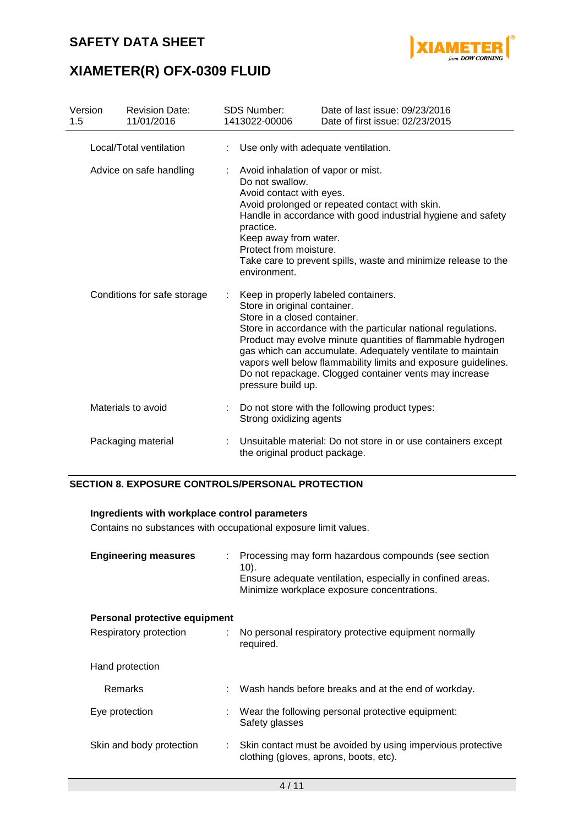

# **XIAMETER(R) OFX-0309 FLUID**

| Version<br>1.5              |                         | <b>Revision Date:</b><br>11/01/2016 |                                                                                                                                                                                                                                                                                                                                                                                                                                                     | <b>SDS Number:</b><br>1413022-00006                           | Date of last issue: 09/23/2016<br>Date of first issue: 02/23/2015 |  |  |
|-----------------------------|-------------------------|-------------------------------------|-----------------------------------------------------------------------------------------------------------------------------------------------------------------------------------------------------------------------------------------------------------------------------------------------------------------------------------------------------------------------------------------------------------------------------------------------------|---------------------------------------------------------------|-------------------------------------------------------------------|--|--|
|                             | Local/Total ventilation |                                     | Use only with adequate ventilation.                                                                                                                                                                                                                                                                                                                                                                                                                 |                                                               |                                                                   |  |  |
| Advice on safe handling     |                         |                                     | Avoid inhalation of vapor or mist.<br>Do not swallow.<br>Avoid contact with eyes.<br>Avoid prolonged or repeated contact with skin.<br>Handle in accordance with good industrial hygiene and safety<br>practice.<br>Keep away from water.<br>Protect from moisture.<br>Take care to prevent spills, waste and minimize release to the<br>environment.                                                                                               |                                                               |                                                                   |  |  |
| Conditions for safe storage |                         |                                     | Keep in properly labeled containers.<br>Store in original container.<br>Store in a closed container.<br>Store in accordance with the particular national regulations.<br>Product may evolve minute quantities of flammable hydrogen<br>gas which can accumulate. Adequately ventilate to maintain<br>vapors well below flammability limits and exposure guidelines.<br>Do not repackage. Clogged container vents may increase<br>pressure build up. |                                                               |                                                                   |  |  |
|                             |                         | Materials to avoid                  |                                                                                                                                                                                                                                                                                                                                                                                                                                                     | Strong oxidizing agents                                       | Do not store with the following product types:                    |  |  |
| Packaging material          |                         |                                     | the original product package.                                                                                                                                                                                                                                                                                                                                                                                                                       | Unsuitable material: Do not store in or use containers except |                                                                   |  |  |

### **SECTION 8. EXPOSURE CONTROLS/PERSONAL PROTECTION**

## **Ingredients with workplace control parameters**

Contains no substances with occupational exposure limit values.

| <b>Engineering measures</b>    | Processing may form hazardous compounds (see section<br>$10$ .<br>Ensure adequate ventilation, especially in confined areas.<br>Minimize workplace exposure concentrations. |  |
|--------------------------------|-----------------------------------------------------------------------------------------------------------------------------------------------------------------------------|--|
| Personal protective equipment  |                                                                                                                                                                             |  |
| Respiratory protection         | No personal respiratory protective equipment normally<br>required.                                                                                                          |  |
| Hand protection                |                                                                                                                                                                             |  |
| Remarks                        | Wash hands before breaks and at the end of workday.                                                                                                                         |  |
| Eye protection                 | : Wear the following personal protective equipment:<br>Safety glasses                                                                                                       |  |
| Skin and body protection<br>÷. | Skin contact must be avoided by using impervious protective<br>clothing (gloves, aprons, boots, etc).                                                                       |  |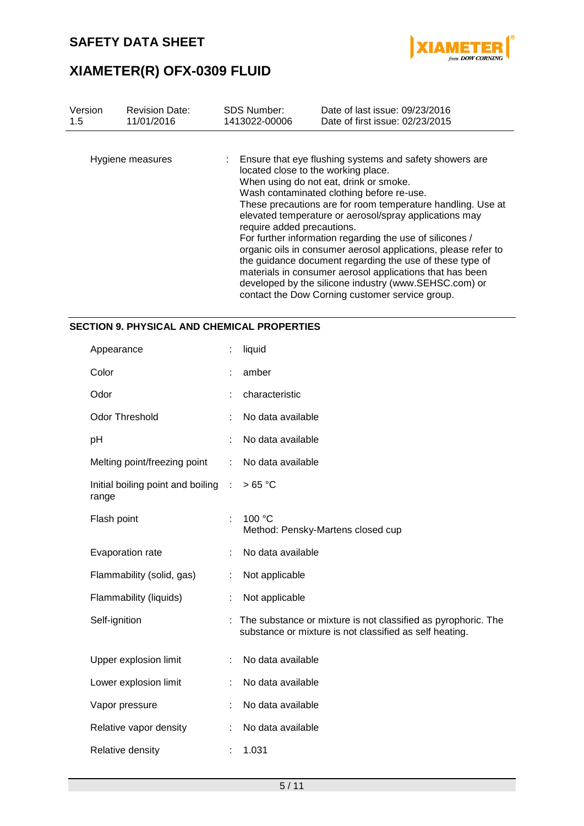

| Version | <b>Revision Date:</b> | <b>SDS Number:</b>                              | Date of last issue: 09/23/2016                                                                                                                                                                                                                                                                                                                                                                                                                                                                                                                                                                                                                                |  |  |  |  |
|---------|-----------------------|-------------------------------------------------|---------------------------------------------------------------------------------------------------------------------------------------------------------------------------------------------------------------------------------------------------------------------------------------------------------------------------------------------------------------------------------------------------------------------------------------------------------------------------------------------------------------------------------------------------------------------------------------------------------------------------------------------------------------|--|--|--|--|
| 1.5     | 11/01/2016            | 1413022-00006                                   | Date of first issue: 02/23/2015                                                                                                                                                                                                                                                                                                                                                                                                                                                                                                                                                                                                                               |  |  |  |  |
|         | Hygiene measures      | contact the Dow Corning customer service group. | : Ensure that eye flushing systems and safety showers are<br>located close to the working place.<br>When using do not eat, drink or smoke.<br>Wash contaminated clothing before re-use.<br>These precautions are for room temperature handling. Use at<br>elevated temperature or aerosol/spray applications may<br>require added precautions.<br>For further information regarding the use of silicones /<br>organic oils in consumer aerosol applications, please refer to<br>the guidance document regarding the use of these type of<br>materials in consumer aerosol applications that has been<br>developed by the silicone industry (www.SEHSC.com) or |  |  |  |  |

### **SECTION 9. PHYSICAL AND CHEMICAL PROPERTIES**

| Appearance                                 |   | liquid                                                                                                                   |
|--------------------------------------------|---|--------------------------------------------------------------------------------------------------------------------------|
| Color                                      |   | amber                                                                                                                    |
| Odor                                       |   | characteristic                                                                                                           |
| <b>Odor Threshold</b>                      |   | No data available                                                                                                        |
| рH                                         |   | No data available                                                                                                        |
| Melting point/freezing point               | ÷ | No data available                                                                                                        |
| Initial boiling point and boiling<br>range | ÷ | >65 °C                                                                                                                   |
| Flash point                                | ÷ | 100 °C<br>Method: Pensky-Martens closed cup                                                                              |
| Evaporation rate                           |   | No data available                                                                                                        |
| Flammability (solid, gas)                  |   | Not applicable                                                                                                           |
| Flammability (liquids)                     |   | Not applicable                                                                                                           |
| Self-ignition                              |   | The substance or mixture is not classified as pyrophoric. The<br>substance or mixture is not classified as self heating. |
| Upper explosion limit                      |   | No data available                                                                                                        |
| Lower explosion limit                      |   | No data available                                                                                                        |
| Vapor pressure                             |   | No data available                                                                                                        |
| Relative vapor density                     |   | No data available                                                                                                        |
| Relative density                           |   | 1.031                                                                                                                    |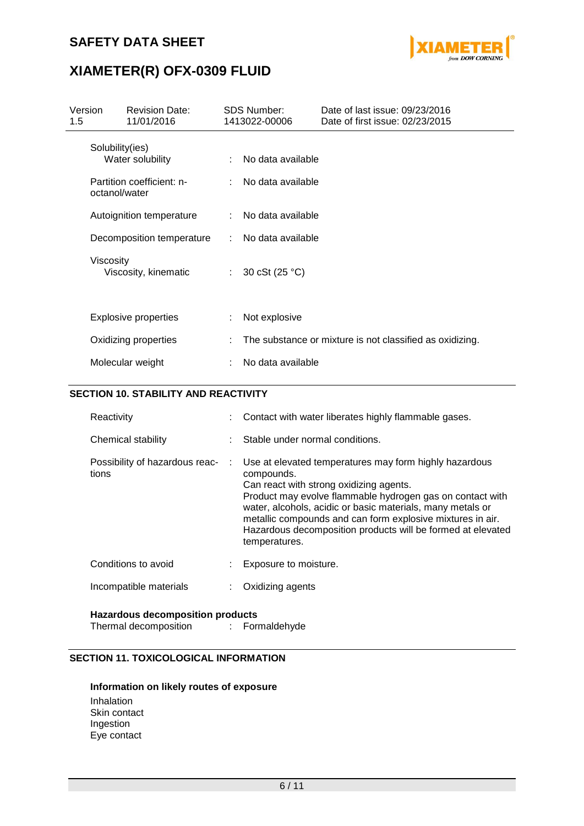

# **XIAMETER(R) OFX-0309 FLUID**

| Version<br>1.5 |                                  | <b>Revision Date:</b><br>11/01/2016           |                  | <b>SDS Number:</b><br>1413022-00006    | Date of last issue: 09/23/2016<br>Date of first issue: 02/23/2015 |
|----------------|----------------------------------|-----------------------------------------------|------------------|----------------------------------------|-------------------------------------------------------------------|
|                | Solubility(ies)<br>octanol/water | Water solubility<br>Partition coefficient: n- |                  | No data available<br>No data available |                                                                   |
|                |                                  | Autoignition temperature                      |                  | No data available                      |                                                                   |
|                |                                  | Decomposition temperature                     |                  | No data available                      |                                                                   |
|                | Viscosity                        | Viscosity, kinematic                          | $\mathbb{Z}^n$ . | 30 cSt (25 °C)                         |                                                                   |
|                |                                  | <b>Explosive properties</b>                   |                  | Not explosive                          |                                                                   |
|                |                                  | Oxidizing properties                          |                  |                                        | The substance or mixture is not classified as oxidizing.          |
|                |                                  | Molecular weight                              |                  | No data available                      |                                                                   |

### **SECTION 10. STABILITY AND REACTIVITY**

| Reactivity                              | Contact with water liberates highly flammable gases.                                                                                                                                                                                                                                                                                                                                     |
|-----------------------------------------|------------------------------------------------------------------------------------------------------------------------------------------------------------------------------------------------------------------------------------------------------------------------------------------------------------------------------------------------------------------------------------------|
| Chemical stability                      | Stable under normal conditions.                                                                                                                                                                                                                                                                                                                                                          |
| Possibility of hazardous reac-<br>tions | Use at elevated temperatures may form highly hazardous<br>compounds.<br>Can react with strong oxidizing agents.<br>Product may evolve flammable hydrogen gas on contact with<br>water, alcohols, acidic or basic materials, many metals or<br>metallic compounds and can form explosive mixtures in air.<br>Hazardous decomposition products will be formed at elevated<br>temperatures. |
| Conditions to avoid                     | Exposure to moisture.                                                                                                                                                                                                                                                                                                                                                                    |
| Incompatible materials                  | Oxidizing agents                                                                                                                                                                                                                                                                                                                                                                         |

### **Hazardous decomposition products**

Thermal decomposition : Formaldehyde

## **SECTION 11. TOXICOLOGICAL INFORMATION**

### **Information on likely routes of exposure**

Inhalation Skin contact Ingestion Eye contact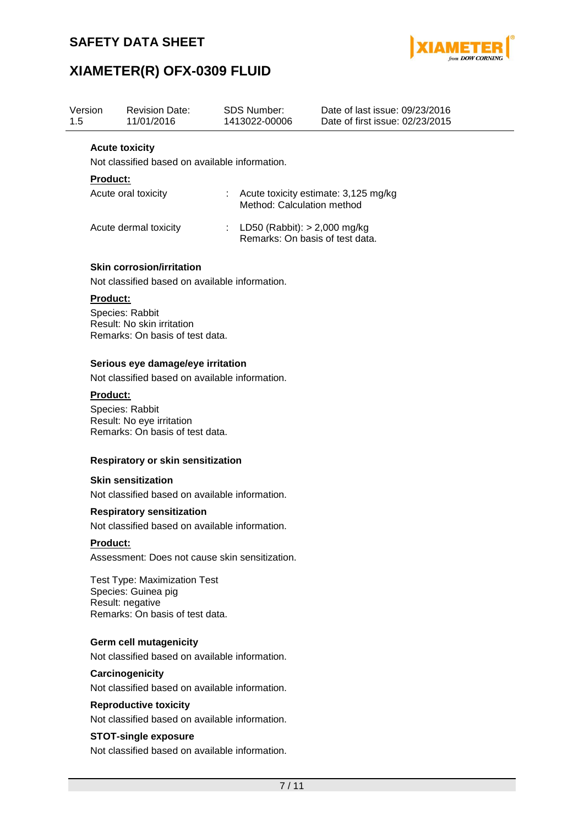

# **XIAMETER(R) OFX-0309 FLUID**

| Version<br>1.5 |                 | <b>Revision Date:</b><br>11/01/2016                                                                               |    | <b>SDS Number:</b><br>1413022-00006                               | Date of last issue: 09/23/2016<br>Date of first issue: 02/23/2015 |
|----------------|-----------------|-------------------------------------------------------------------------------------------------------------------|----|-------------------------------------------------------------------|-------------------------------------------------------------------|
|                |                 | <b>Acute toxicity</b><br>Not classified based on available information.                                           |    |                                                                   |                                                                   |
|                | <b>Product:</b> |                                                                                                                   |    |                                                                   |                                                                   |
|                |                 | Acute oral toxicity                                                                                               |    | Method: Calculation method                                        | Acute toxicity estimate: 3,125 mg/kg                              |
|                |                 | Acute dermal toxicity                                                                                             | ÷. | LD50 (Rabbit): $>$ 2,000 mg/kg<br>Remarks: On basis of test data. |                                                                   |
|                |                 | <b>Skin corrosion/irritation</b><br>Not classified based on available information.                                |    |                                                                   |                                                                   |
|                | Product:        | Species: Rabbit<br>Result: No skin irritation<br>Remarks: On basis of test data.                                  |    |                                                                   |                                                                   |
|                |                 | Serious eye damage/eye irritation<br>Not classified based on available information.                               |    |                                                                   |                                                                   |
|                | <b>Product:</b> | Species: Rabbit<br>Result: No eye irritation<br>Remarks: On basis of test data.                                   |    |                                                                   |                                                                   |
|                |                 | Respiratory or skin sensitization                                                                                 |    |                                                                   |                                                                   |
|                |                 | <b>Skin sensitization</b>                                                                                         |    |                                                                   |                                                                   |
|                |                 | Not classified based on available information.                                                                    |    |                                                                   |                                                                   |
|                |                 | <b>Respiratory sensitization</b><br>Not classified based on available information.                                |    |                                                                   |                                                                   |
|                | <b>Product:</b> |                                                                                                                   |    |                                                                   |                                                                   |
|                |                 | Assessment: Does not cause skin sensitization.                                                                    |    |                                                                   |                                                                   |
|                |                 | <b>Test Type: Maximization Test</b><br>Species: Guinea pig<br>Result: negative<br>Remarks: On basis of test data. |    |                                                                   |                                                                   |
|                |                 | <b>Germ cell mutagenicity</b><br>Not classified based on available information.                                   |    |                                                                   |                                                                   |
|                |                 | Carcinogenicity                                                                                                   |    |                                                                   |                                                                   |
|                |                 | Not classified based on available information.                                                                    |    |                                                                   |                                                                   |
|                |                 | <b>Reproductive toxicity</b>                                                                                      |    |                                                                   |                                                                   |

Not classified based on available information.

### **STOT-single exposure**

Not classified based on available information.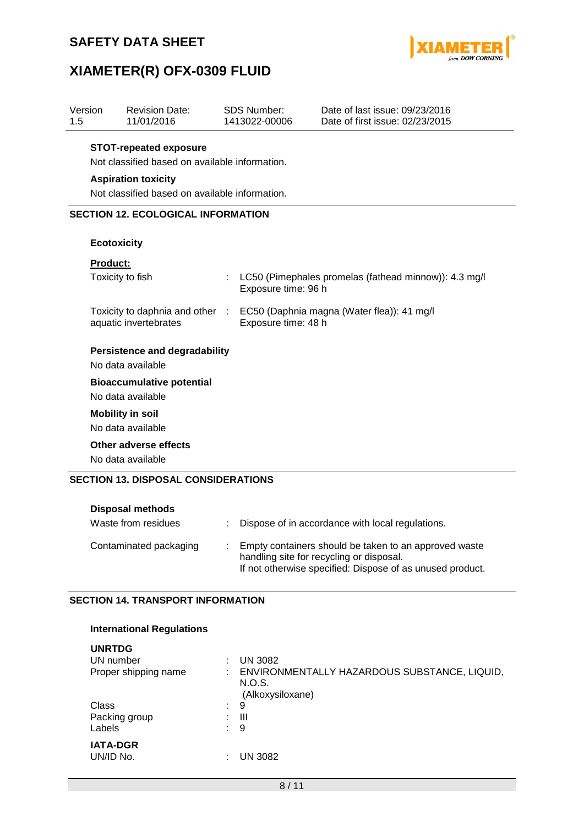

# **XIAMETER(R) OFX-0309 FLUID**

| Version<br>1.5 | <b>Revision Date:</b><br>11/01/2016                                                                 |    | <b>SDS Number:</b><br>1413022-00006 | Date of last issue: 09/23/2016<br>Date of first issue: 02/23/2015 |  |  |  |  |  |
|----------------|-----------------------------------------------------------------------------------------------------|----|-------------------------------------|-------------------------------------------------------------------|--|--|--|--|--|
|                | <b>STOT-repeated exposure</b><br>Not classified based on available information.                     |    |                                     |                                                                   |  |  |  |  |  |
|                | <b>Aspiration toxicity</b>                                                                          |    |                                     |                                                                   |  |  |  |  |  |
|                | Not classified based on available information.                                                      |    |                                     |                                                                   |  |  |  |  |  |
|                | <b>SECTION 12. ECOLOGICAL INFORMATION</b>                                                           |    |                                     |                                                                   |  |  |  |  |  |
|                |                                                                                                     |    |                                     |                                                                   |  |  |  |  |  |
|                | <b>Ecotoxicity</b>                                                                                  |    |                                     |                                                                   |  |  |  |  |  |
|                | <b>Product:</b>                                                                                     |    |                                     |                                                                   |  |  |  |  |  |
|                | Toxicity to fish                                                                                    | ÷. | Exposure time: 96 h                 | LC50 (Pimephales promelas (fathead minnow)): 4.3 mg/l             |  |  |  |  |  |
|                | Toxicity to daphnia and other : EC50 (Daphnia magna (Water flea)): 41 mg/l<br>aquatic invertebrates |    | Exposure time: 48 h                 |                                                                   |  |  |  |  |  |
|                | <b>Persistence and degradability</b>                                                                |    |                                     |                                                                   |  |  |  |  |  |
|                | No data available                                                                                   |    |                                     |                                                                   |  |  |  |  |  |
|                | <b>Bioaccumulative potential</b>                                                                    |    |                                     |                                                                   |  |  |  |  |  |
|                | No data available                                                                                   |    |                                     |                                                                   |  |  |  |  |  |
|                | <b>Mobility in soil</b>                                                                             |    |                                     |                                                                   |  |  |  |  |  |
|                | No data available                                                                                   |    |                                     |                                                                   |  |  |  |  |  |
|                | Other adverse effects                                                                               |    |                                     |                                                                   |  |  |  |  |  |
|                | No data available                                                                                   |    |                                     |                                                                   |  |  |  |  |  |
|                | <b>SECTION 13. DISPOSAL CONSIDERATIONS</b><br>Disnosal methods                                      |    |                                     |                                                                   |  |  |  |  |  |

| PISPOSUL IIIUUIVUS     |                                                                                                                                                                |
|------------------------|----------------------------------------------------------------------------------------------------------------------------------------------------------------|
| Waste from residues    | Dispose of in accordance with local regulations.                                                                                                               |
| Contaminated packaging | Empty containers should be taken to an approved waste<br>handling site for recycling or disposal.<br>If not otherwise specified: Dispose of as unused product. |

### **SECTION 14. TRANSPORT INFORMATION**

| <b>UNRTDG</b>                |                                                                            |
|------------------------------|----------------------------------------------------------------------------|
| UN number                    | <b>UN 3082</b>                                                             |
| Proper shipping name         | ENVIRONMENTALLY HAZARDOUS SUBSTANCE, LIQUID,<br>N.O.S.<br>(Alkoxysiloxane) |
| Class<br>÷.                  | 9                                                                          |
| Packing group<br>÷           | Ш                                                                          |
| Labels                       | 9                                                                          |
| <b>IATA-DGR</b><br>UN/ID No. | <b>UN 3082</b>                                                             |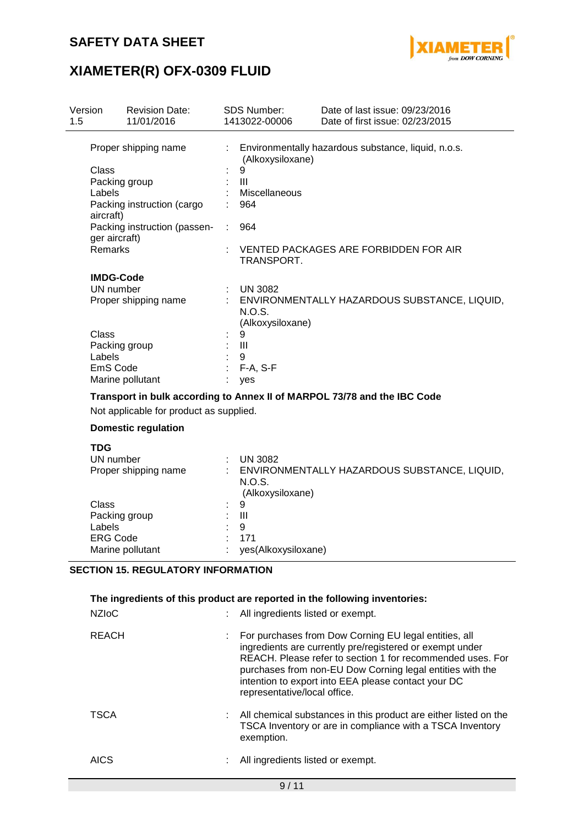

# **XIAMETER(R) OFX-0309 FLUID**

| Version | <b>Revision Date:</b>                         |    | <b>SDS Number:</b>         | Date of last issue: 09/23/2016                                           |
|---------|-----------------------------------------------|----|----------------------------|--------------------------------------------------------------------------|
| 1.5     | 11/01/2016                                    |    | 1413022-00006              | Date of first issue: 02/23/2015                                          |
|         | Proper shipping name                          |    | (Alkoxysiloxane)           | Environmentally hazardous substance, liquid, n.o.s.                      |
|         | Class                                         |    | 9                          |                                                                          |
|         | Packing group                                 |    | $\mathbf{III}$             |                                                                          |
|         | Labels                                        |    | Miscellaneous              |                                                                          |
|         | Packing instruction (cargo<br>aircraft)       |    | 964                        |                                                                          |
|         | Packing instruction (passen-<br>ger aircraft) | ÷. | 964                        |                                                                          |
|         | <b>Remarks</b>                                |    | TRANSPORT.                 | VENTED PACKAGES ARE FORBIDDEN FOR AIR                                    |
|         | <b>IMDG-Code</b>                              |    |                            |                                                                          |
|         | UN number                                     |    | <b>UN 3082</b>             |                                                                          |
|         | Proper shipping name                          |    | N.O.S.<br>(Alkoxysiloxane) | : ENVIRONMENTALLY HAZARDOUS SUBSTANCE, LIQUID,                           |
|         | Class                                         |    | 9                          |                                                                          |
|         | Packing group                                 |    | Ш                          |                                                                          |
|         | Labels                                        |    | 9                          |                                                                          |
|         | EmS Code                                      |    | F-A, S-F                   |                                                                          |
|         | Marine pollutant                              |    | ves                        |                                                                          |
|         |                                               |    |                            | Transport in bulk according to Annex II of MARPOL 73/78 and the IBC Code |
|         | Not applicable for product as supplied.       |    |                            |                                                                          |
|         | <b>Domestic regulation</b>                    |    |                            |                                                                          |
|         | <b>TDG</b><br><b>LINE</b> and a solid and     |    | $\overline{11110000}$      |                                                                          |

| ENVIRONMENTALLY HAZARDOUS SUBSTANCE, LIQUID,<br>Proper shipping name<br>N.O.S.<br>(Alkoxysiloxane) | UN number |    | <b>UN 3082</b> |
|----------------------------------------------------------------------------------------------------|-----------|----|----------------|
|                                                                                                    |           |    |                |
|                                                                                                    | Class     | ÷. | 9              |
| Packing group<br>Ш                                                                                 |           |    |                |
| Labels<br>9<br>t.                                                                                  |           |    |                |
| <b>ERG Code</b><br>171                                                                             |           |    |                |
| Marine pollutant<br>yes(Alkoxysiloxane)                                                            |           |    |                |

### **SECTION 15. REGULATORY INFORMATION**

| The ingredients of this product are reported in the following inventories:<br><b>NZIOC</b><br>All ingredients listed or exempt. |  |                                                                                                                                                                                                                                                                                                                                     |  |  |  |
|---------------------------------------------------------------------------------------------------------------------------------|--|-------------------------------------------------------------------------------------------------------------------------------------------------------------------------------------------------------------------------------------------------------------------------------------------------------------------------------------|--|--|--|
| <b>REACH</b>                                                                                                                    |  | For purchases from Dow Corning EU legal entities, all<br>ingredients are currently pre/registered or exempt under<br>REACH. Please refer to section 1 for recommended uses. For<br>purchases from non-EU Dow Corning legal entities with the<br>intention to export into EEA please contact your DC<br>representative/local office. |  |  |  |
| <b>TSCA</b>                                                                                                                     |  | All chemical substances in this product are either listed on the<br>TSCA Inventory or are in compliance with a TSCA Inventory<br>exemption.                                                                                                                                                                                         |  |  |  |
| <b>AICS</b>                                                                                                                     |  | All ingredients listed or exempt.                                                                                                                                                                                                                                                                                                   |  |  |  |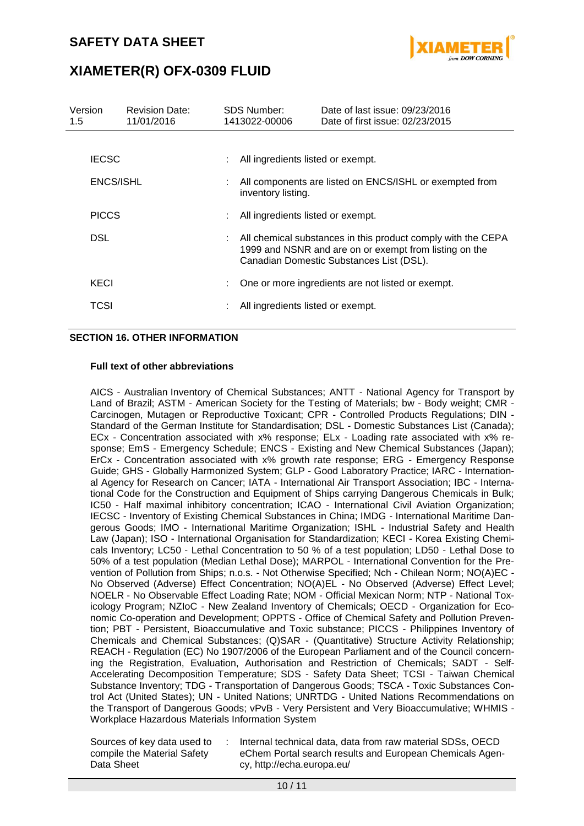

| Version<br>1.5 | <b>Revision Date:</b><br>11/01/2016 | <b>SDS Number:</b><br>1413022-00006 | Date of last issue: 09/23/2016<br>Date of first issue: 02/23/2015                                                                                                  |
|----------------|-------------------------------------|-------------------------------------|--------------------------------------------------------------------------------------------------------------------------------------------------------------------|
|                |                                     |                                     |                                                                                                                                                                    |
| <b>IECSC</b>   |                                     | All ingredients listed or exempt.   |                                                                                                                                                                    |
| ENCS/ISHL      |                                     | inventory listing.                  | : All components are listed on ENCS/ISHL or exempted from                                                                                                          |
| <b>PICCS</b>   |                                     | All ingredients listed or exempt.   |                                                                                                                                                                    |
| DSL            |                                     |                                     | All chemical substances in this product comply with the CEPA<br>1999 and NSNR and are on or exempt from listing on the<br>Canadian Domestic Substances List (DSL). |
| KECI           |                                     |                                     | One or more ingredients are not listed or exempt.                                                                                                                  |
| TCSI           |                                     | All ingredients listed or exempt.   |                                                                                                                                                                    |

### **SECTION 16. OTHER INFORMATION**

#### **Full text of other abbreviations**

AICS - Australian Inventory of Chemical Substances; ANTT - National Agency for Transport by Land of Brazil; ASTM - American Society for the Testing of Materials; bw - Body weight; CMR - Carcinogen, Mutagen or Reproductive Toxicant; CPR - Controlled Products Regulations; DIN - Standard of the German Institute for Standardisation; DSL - Domestic Substances List (Canada); ECx - Concentration associated with x% response; ELx - Loading rate associated with x% response; EmS - Emergency Schedule; ENCS - Existing and New Chemical Substances (Japan); ErCx - Concentration associated with x% growth rate response; ERG - Emergency Response Guide; GHS - Globally Harmonized System; GLP - Good Laboratory Practice; IARC - International Agency for Research on Cancer; IATA - International Air Transport Association; IBC - International Code for the Construction and Equipment of Ships carrying Dangerous Chemicals in Bulk; IC50 - Half maximal inhibitory concentration; ICAO - International Civil Aviation Organization; IECSC - Inventory of Existing Chemical Substances in China; IMDG - International Maritime Dangerous Goods; IMO - International Maritime Organization; ISHL - Industrial Safety and Health Law (Japan); ISO - International Organisation for Standardization; KECI - Korea Existing Chemicals Inventory; LC50 - Lethal Concentration to 50 % of a test population; LD50 - Lethal Dose to 50% of a test population (Median Lethal Dose); MARPOL - International Convention for the Prevention of Pollution from Ships; n.o.s. - Not Otherwise Specified; Nch - Chilean Norm; NO(A)EC - No Observed (Adverse) Effect Concentration; NO(A)EL - No Observed (Adverse) Effect Level; NOELR - No Observable Effect Loading Rate; NOM - Official Mexican Norm; NTP - National Toxicology Program; NZIoC - New Zealand Inventory of Chemicals; OECD - Organization for Economic Co-operation and Development; OPPTS - Office of Chemical Safety and Pollution Prevention; PBT - Persistent, Bioaccumulative and Toxic substance; PICCS - Philippines Inventory of Chemicals and Chemical Substances; (Q)SAR - (Quantitative) Structure Activity Relationship; REACH - Regulation (EC) No 1907/2006 of the European Parliament and of the Council concerning the Registration, Evaluation, Authorisation and Restriction of Chemicals; SADT - Self-Accelerating Decomposition Temperature; SDS - Safety Data Sheet; TCSI - Taiwan Chemical Substance Inventory; TDG - Transportation of Dangerous Goods; TSCA - Toxic Substances Control Act (United States); UN - United Nations; UNRTDG - United Nations Recommendations on the Transport of Dangerous Goods; vPvB - Very Persistent and Very Bioaccumulative; WHMIS - Workplace Hazardous Materials Information System

Sources of key data used to compile the Material Safety Data Sheet

: Internal technical data, data from raw material SDSs, OECD eChem Portal search results and European Chemicals Agency, http://echa.europa.eu/